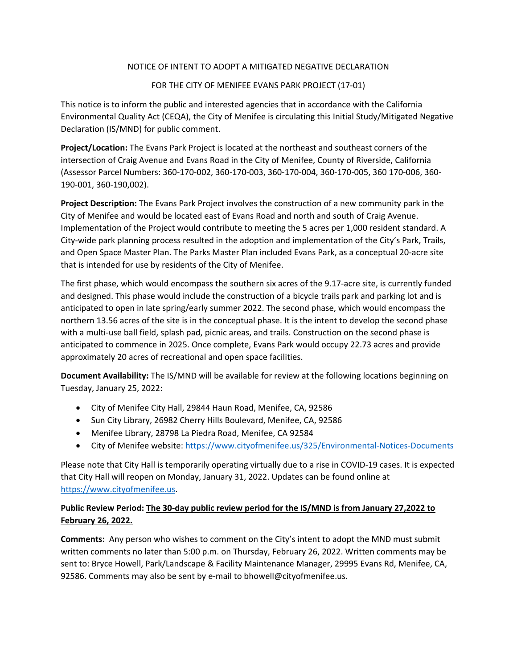## NOTICE OF INTENT TO ADOPT A MITIGATED NEGATIVE DECLARATION

## FOR THE CITY OF MENIFEE EVANS PARK PROJECT (17‐01)

This notice is to inform the public and interested agencies that in accordance with the California Environmental Quality Act (CEQA), the City of Menifee is circulating this Initial Study/Mitigated Negative Declaration (IS/MND) for public comment.

**Project/Location:** The Evans Park Project is located at the northeast and southeast corners of the intersection of Craig Avenue and Evans Road in the City of Menifee, County of Riverside, California (Assessor Parcel Numbers: 360‐170‐002, 360‐170‐003, 360‐170‐004, 360‐170‐005, 360 170‐006, 360‐ 190‐001, 360‐190,002).

**Project Description:** The Evans Park Project involves the construction of a new community park in the City of Menifee and would be located east of Evans Road and north and south of Craig Avenue. Implementation of the Project would contribute to meeting the 5 acres per 1,000 resident standard. A City‐wide park planning process resulted in the adoption and implementation of the City's Park, Trails, and Open Space Master Plan. The Parks Master Plan included Evans Park, as a conceptual 20‐acre site that is intended for use by residents of the City of Menifee.

The first phase, which would encompass the southern six acres of the 9.17‐acre site, is currently funded and designed. This phase would include the construction of a bicycle trails park and parking lot and is anticipated to open in late spring/early summer 2022. The second phase, which would encompass the northern 13.56 acres of the site is in the conceptual phase. It is the intent to develop the second phase with a multi-use ball field, splash pad, picnic areas, and trails. Construction on the second phase is anticipated to commence in 2025. Once complete, Evans Park would occupy 22.73 acres and provide approximately 20 acres of recreational and open space facilities.

**Document Availability:** The IS/MND will be available for review at the following locations beginning on Tuesday, January 25, 2022:

- City of Menifee City Hall, 29844 Haun Road, Menifee, CA, 92586
- Sun City Library, 26982 Cherry Hills Boulevard, Menifee, CA, 92586
- Menifee Library, 28798 La Piedra Road, Menifee, CA 92584
- City of Menifee website: https://www.cityofmenifee.us/325/Environmental‐Notices‐Documents

Please note that City Hall is temporarily operating virtually due to a rise in COVID‐19 cases. It is expected that City Hall will reopen on Monday, January 31, 2022. Updates can be found online at https://www.cityofmenifee.us.

## **Public Review Period: The 30‐day public review period for the IS/MND is from January 27,2022 to February 26, 2022.**

**Comments:** Any person who wishes to comment on the City's intent to adopt the MND must submit written comments no later than 5:00 p.m. on Thursday, February 26, 2022. Written comments may be sent to: Bryce Howell, Park/Landscape & Facility Maintenance Manager, 29995 Evans Rd, Menifee, CA, 92586. Comments may also be sent by e-mail to bhowell@cityofmenifee.us.